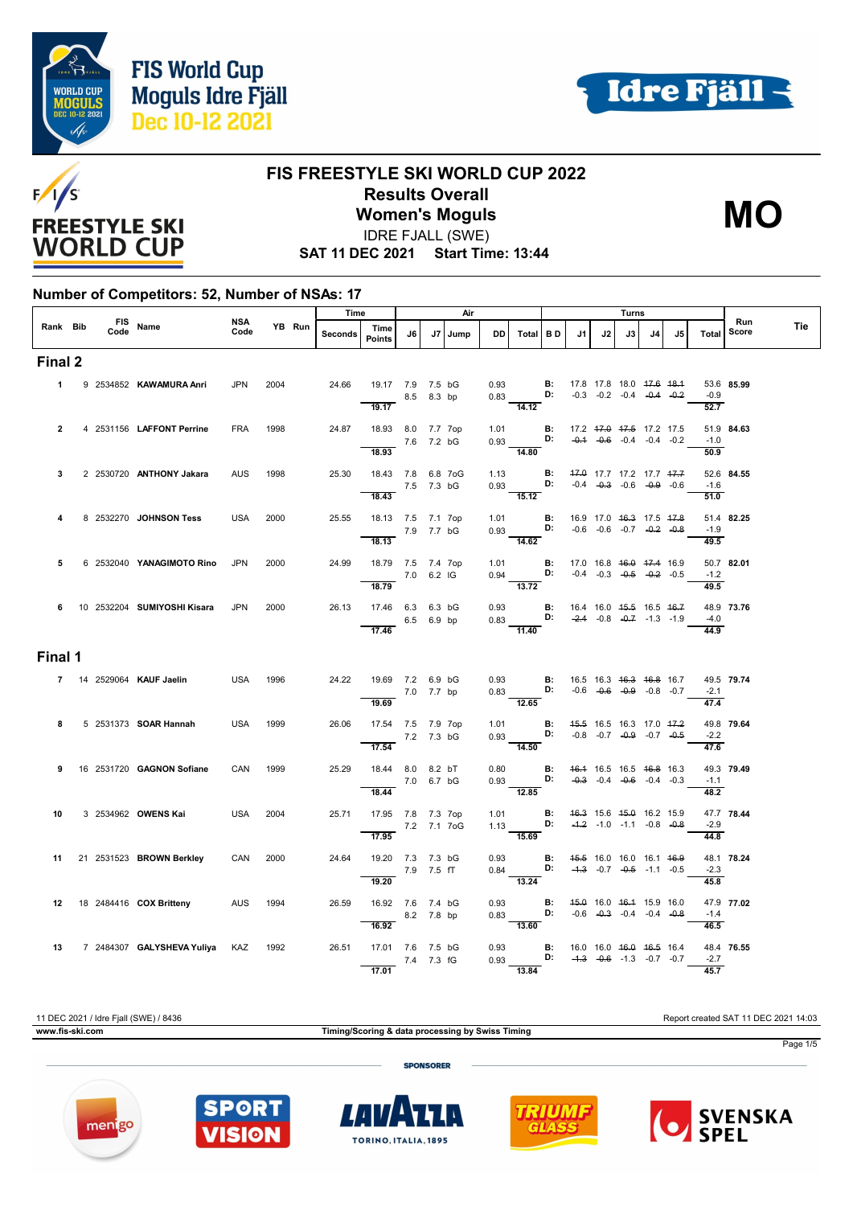



**MO**



#### **FIS FREESTYLE SKI WORLD CUP 2022 Results Overall Women's Moguls**

IDRE FJALL (SWE)

**SAT 11 DEC 2021 Start Time: 13:44**

#### **Number of Competitors: 52, Number of NSAs: 17**

|                | FIS Name |  |                                        |             |        |         | Time                                                                                 |            | Air     |           |                                                                                                                                | Turns |                          |    |                                    |     |    |                             | Run        |     |
|----------------|----------|--|----------------------------------------|-------------|--------|---------|--------------------------------------------------------------------------------------|------------|---------|-----------|--------------------------------------------------------------------------------------------------------------------------------|-------|--------------------------|----|------------------------------------|-----|----|-----------------------------|------------|-----|
| Rank Bib       |          |  |                                        | NSA<br>Code | YB Run | Seconds | Time<br><b>Points</b>                                                                | J6         | J7 Jump | <b>DD</b> | Total BD                                                                                                                       |       | J1                       | J2 | J3                                 | J4. | J5 | Total                       | Score      | Tie |
| Final 2        |          |  |                                        |             |        |         |                                                                                      |            |         |           |                                                                                                                                |       |                          |    |                                    |     |    |                             |            |     |
|                |          |  | 1 9 2534852 KAWAMURA Anri              | <b>JPN</b>  | 2004   | 24.66   | 19.17 7.9 7.5 bG<br>19.17                                                            | 8.5 8.3 bp |         |           | 0.93 <b>B</b> : 17.8 17.8 18.0 <del>17.6 18.1</del><br>0.83 <b>D:</b> -0.3 -0.2 -0.4 - <del>0.4</del> -0.2<br>14.12            |       |                          |    |                                    |     |    | $-0.9$<br>52.7              | 53.6 85.99 |     |
| $\overline{2}$ |          |  | 4 2531156 LAFFONT Perrine              | <b>FRA</b>  | 1998   |         | 24.87 18.93 8.0 7.7 7op<br>$\frac{}{18.93}$ 7.6 7.2 bG                               |            |         |           | 1.01 <b>B</b> : 17.2 <del>17.0</del> 17.5 17.2 17.5<br>0.93 <b>D:</b> -0.4 -0.6 -0.4 -0.4 -0.2                                 |       |                          |    |                                    |     |    | $-1.0$                      | 51.9 84.63 |     |
| 3              |          |  | 2 2530720 ANTHONY Jakara               | <b>AUS</b>  | 1998   | 25.30   | 18.43 7.8 6.8 7oG<br>7.5 7.3 bG                                                      |            |         |           | 14.80<br>1.13 <b>B:</b> $\frac{47.0}{0.9}$ 17.7 17.2 17.7 $\frac{47.7}{0.9}$<br>0.93 <b>D:</b> -0.4 -0.3 -0.6 -0.9 -0.6        |       |                          |    |                                    |     |    | 50.9<br>$-1.6$              | 52.6 84.55 |     |
|                |          |  | 8 2532270 JOHNSON Tess                 | <b>USA</b>  | 2000   | 25.55   | 18.43<br>18.13 7.5 7.1 7op                                                           |            |         |           | $\frac{1}{15.12}$<br>1.01 <b>B</b> : 16.9 17.0 46.3 17.5 47.8 0.93 <b>D</b> : $-0.6$ -0.6 -0.7 -0.2 -0.8                       |       |                          |    |                                    |     |    | 51.0<br>$-1.9$              | 51.4 82.25 |     |
| 5              |          |  | 6 2532040 YANAGIMOTO Rino              | <b>JPN</b>  | 2000   | 24.99   | $\frac{}{18.13}$ 7.9 7.7 bG<br>18.79 7.5 7.4 7op<br>$\frac{18.79}{18.79}$ 7.0 6.2 IG |            |         |           | 1.01 <b>B</b> : 17.0 16.8 46.0 47.4 16.9<br>0.94 <b>D:</b> -0.4 -0.3 -0.5 -0.2 -0.5                                            |       |                          |    |                                    |     |    | 49.5<br>$-1.2$              | 50.7 82.01 |     |
|                |          |  | 6 10 2532204 SUMIYOSHI Kisara          | <b>JPN</b>  | 2000   |         | 26.13 17.46 6.3 6.3 bG<br>$6.5$ 6.9 bp<br>17.46                                      |            |         |           | 13.72<br>0.93 <b>B</b> : 16.4 16.0 4 <del>5.5</del> 16.5 46.7<br>0.83 <b>D:</b> -2.4 -0.8 -0.7 -1.3 -1.9                       |       |                          |    |                                    |     |    | 49.5<br>$-4.0$<br>44.9      | 48.9 73.76 |     |
| Final 1        |          |  |                                        |             |        |         |                                                                                      |            |         |           | 11.40                                                                                                                          |       |                          |    |                                    |     |    |                             |            |     |
|                |          |  | 7 14 2529064 KAUF Jaelin               | USA         | 1996   |         | 24.22 19.69 7.2 6.9 bG<br>7.0 7.7 bp                                                 |            |         |           | 0.93 <b>B:</b> 16.5 16.3 <del>16.3 16.8</del> 16.7<br>0.83 <b>D:</b> -0.6 -0. <del>0</del> 0.9 -0.8 -0.7<br>12.65              |       |                          |    |                                    |     |    | $-2.1$<br>$\frac{47.4}{x}$  | 49.5 79.74 |     |
| 8              |          |  | 5 2531373 <b>SOAR Hannah</b>           | USA         | 1999   | 26.06   | 17.54 7.5 7.9 7op<br>$\frac{7.2}{17.54}$ 7.2 7.3 bG                                  |            |         |           | 1.01 <b>B:</b><br>0.93 <b>D:</b><br>$\frac{1}{14.50}$                                                                          |       | 45.5 16.5 16.3 17.0 47.2 |    | $-0.8$ $-0.7$ $-0.9$ $-0.7$ $-0.5$ |     |    | $-2.2$<br>$\frac{47.6}{ }$  | 49.8 79.64 |     |
| 9              |          |  | 16 2531720 <b>GAGNON Sofiane</b>       | CAN         | 1999   | 25.29   | 18.44 8.0 8.2 bT<br>$\frac{7.0}{18.44}$ 7.0 6.7 bG                                   |            |         |           | 0.80 <b>B:</b> $\frac{46.4}{0.93}$ 16.5 16.5 16.6 16.3<br>0.93 <b>D:</b> $\frac{40.3}{0.93}$ -0.4 -0.6 -0.4 -0.3<br>12.85      |       |                          |    |                                    |     |    | $-1.1$<br>$\overline{48.2}$ | 49.3 79.49 |     |
| 10             |          |  | 3 2534962 OWENS Kai                    | <b>USA</b>  | 2004   | 25.71   | 17.95 7.8 7.3 7op<br>7.2 7.1 7 og                                                    |            |         |           | 1.01 <b>B:</b><br>1.13 <b>D:</b><br>15.69                                                                                      |       | 46.3 15.6 45.0 16.2 15.9 |    | $-4.2$ $-1.0$ $-1.1$ $-0.8$ $-0.8$ |     |    | $-2.9$<br>44.8              | 47.7 78.44 |     |
| 11             |          |  | 21 2531523 BROWN Berkley               | CAN         | 2000   | 24.64   | 19.20 7.3 7.3 bG<br>$\frac{7.9}{19.20}$ 7.9 7.5 fT                                   |            |         |           | 0.93 <b>B:</b> 45.5 16.0 16.0 16.1 46.9<br>0.84 <b>D:</b> -4.3 -0.7 -0.5 -1.1 -0.5<br>13.24                                    |       |                          |    |                                    |     |    | $-2.3$<br>45.8              | 48.1 78.24 |     |
|                |          |  | 12 18 2484416 COX Britteny             | AUS         | 1994   | 26.59   | 16.92 7.6 7.4 bG<br>$8.2$ 7.8 bp<br>16.92                                            |            |         |           | 0.93 <b>B:</b><br>0.83 <b>D:</b><br>$\frac{1}{13.60}$                                                                          |       | 45.0 16.0 46.4 15.9 16.0 |    | $-0.6$ $-0.3$ $-0.4$ $-0.4$ $-0.8$ |     |    | $-1.4$<br>$\overline{46.5}$ | 47.9 77.02 |     |
|                |          |  | 13 7 2484307 GALYSHEVA Yuliya KAZ 1992 |             |        | 26.51   | 17.01 7.6 7.5 bG<br>7.4 7.3 fG<br>17.01                                              |            |         |           | 0.93 <b>B:</b> 16.0 16.0 <del>16.0 16.5</del> 16.4<br>0.93 <b>D:</b> - <del>1.3</del> -0.6 -1.3 -0.7 -0.7<br>$\frac{1}{13.84}$ |       |                          |    |                                    |     |    | $-2.7$<br>45.7              | 48.4 76.55 |     |

11 DEC 2021 / Idre Fjall (SWE) / 8436 Report created SAT 11 DEC 2021 14:03 **www.fis-ski.com Timing/Scoring & data processing by Swiss Timing** Page 1/5 **SPONSORER** 



TORINO, ITALIA, 1895

 $\mathbf{I}$ 

SPO

VISION

menigo



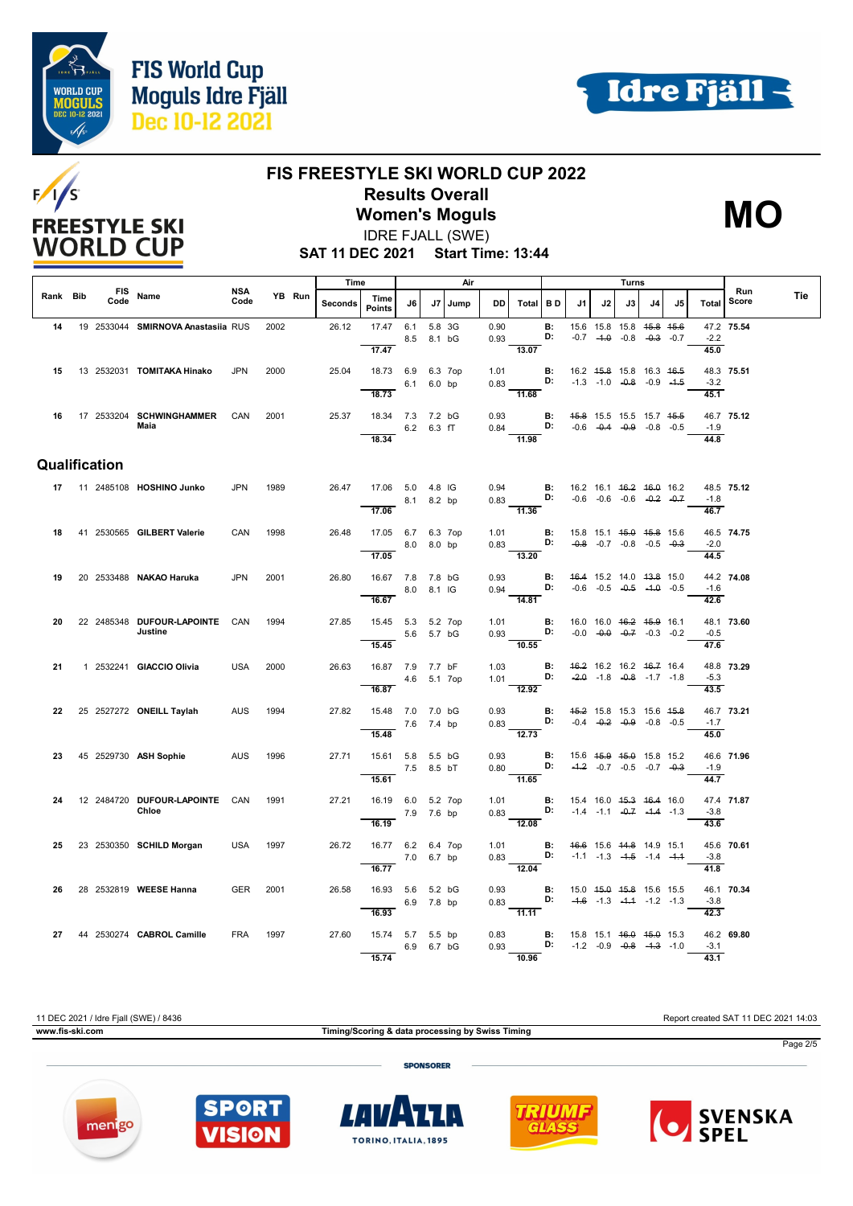





# **FIS FREESTYLE SKI WORLD CUP 2022 Results Overall**

T

**Women's Moguls** IDRE FJALL (SWE)



**SAT 11 DEC 2021 Start Time: 13:44**

|          |                    |                                           |                    |      |        | Time           |                                                       |            |        | Air     |              |                                                                                                                        |                |                                    |    | Turns                                                          |    |    |                             |              |     |
|----------|--------------------|-------------------------------------------|--------------------|------|--------|----------------|-------------------------------------------------------|------------|--------|---------|--------------|------------------------------------------------------------------------------------------------------------------------|----------------|------------------------------------|----|----------------------------------------------------------------|----|----|-----------------------------|--------------|-----|
| Rank Bib | <b>FIS</b><br>Code | Name                                      | <b>NSA</b><br>Code |      | YB Run | <b>Seconds</b> | Time<br><b>Points</b>                                 | J6         |        | J7 Jump | DD           | Total BD                                                                                                               |                | J1                                 | J2 | J3                                                             | J4 | J5 | <b>Total</b>                | Run<br>Score | Tie |
| 14       |                    | 19 2533044 SMIRNOVA Anastasiia RUS        |                    | 2002 |        | 26.12          | 17.47 6.1                                             | 8.5 8.1 bG | 5.8 3G |         | 0.90<br>0.93 |                                                                                                                        | B:<br>D:       |                                    |    | 15.6 15.8 15.8 45.8 45.6<br>$-0.7$ $-4.0$ $-0.8$ $-0.3$ $-0.7$ |    |    | $-2.2$                      | 47.2 75.54   |     |
| 15       |                    | 13 2532031 TOMITAKA Hinako                | <b>JPN</b>         | 2000 |        | 25.04          | 17.47<br>18.73 6.9 6.3 7op                            |            |        |         | 1.01         | 13.07                                                                                                                  |                | <b>B:</b> 16.2 45.8 15.8 16.3 46.5 |    |                                                                |    |    | 45.0                        | 48.3 75.51   |     |
|          |                    |                                           |                    |      |        |                | 18.73                                                 | 6.1 6.0 bp |        |         |              | $0.83$ D:<br>11.68                                                                                                     |                | $-1.3$ $-1.0$ $-0.8$ $-0.9$ $-4.5$ |    |                                                                |    |    | $-3.2$<br>45.1              |              |     |
|          |                    | 16 17 2533204 SCHWINGHAMMER<br>Maia       | CAN                | 2001 |        |                | 25.37 18.34 7.3 7.2 bG                                | 6.2 6.3 fT |        |         |              | 0.93 <b>B:</b> 45.8 15.5 15.5 15.7 45.5 0.84 <b>D:</b> -0.6 -0.4 -0.9 -0.8 -0.5                                        |                |                                    |    |                                                                |    |    | $-1.9$                      | 46.7 75.12   |     |
|          |                    |                                           |                    |      |        |                | 18.34                                                 |            |        |         |              | $\overline{11.98}$                                                                                                     |                |                                    |    |                                                                |    |    | 44.8                        |              |     |
|          | Qualification      |                                           |                    |      |        |                |                                                       |            |        |         |              |                                                                                                                        |                |                                    |    |                                                                |    |    |                             |              |     |
|          |                    | 17  11  2485108  HOSHINO Junko            | <b>JPN</b>         | 1989 |        | 26.47          | 17.06 5.0 4.8 IG                                      | 8.1 8.2 bp |        |         |              | 0.94 <b>B</b> : 16.2 16.1 46.2 46.0 16.2<br>0.83 <b>D:</b> -0.6 -0.6 -0.6 -0. <del>2</del> -0.7                        |                |                                    |    |                                                                |    |    | $-1.8$                      | 48.5 75.12   |     |
|          |                    |                                           |                    |      |        |                | 17.06                                                 |            |        |         |              | $\overline{11.36}$                                                                                                     |                |                                    |    |                                                                |    |    | 46.7                        |              |     |
| 18       |                    | 41 2530565 GILBERT Valerie                | CAN                | 1998 |        | 26.48          | 17.05 6.7 6.3 7op<br>8.0 8.0 bp<br>$\overline{17.05}$ |            |        |         |              | 1.01 <b>B</b> : 15.8 15.1 <del>15.0 15.8</del> 15.6<br>0.83 <b>D:</b> -0.8 -0.7 -0.8 -0.5 -0.3<br>$\frac{1}{13.20}$    |                |                                    |    |                                                                |    |    | $-2.0$                      | 46.5 74.75   |     |
| 19       |                    | 20 2533488 NAKAO Haruka                   | JPN                | 2001 |        | 26.80          | 16.67 7.8 7.8 bG                                      |            |        |         |              | 0.93 <b>B:</b> 4 <del>6.4</del> 15.2 14.0 4 <del>3.8</del> 15.0<br>0.94 <b>D:</b> -0.6 -0.5 -0. <del>5</del> -1.0 -0.5 |                |                                    |    |                                                                |    |    | 44.5                        | 44.2 74.08   |     |
|          |                    |                                           |                    |      |        |                | 16.67                                                 | 8.0 8.1 IG |        |         |              | $\overline{14.81}$                                                                                                     |                |                                    |    |                                                                |    |    | $-1.6$<br>42.6              |              |     |
| 20       |                    | 22 2485348 DUFOUR-LAPOINTE CAN<br>Justine |                    | 1994 |        | 27.85          | 15.45 5.3 5.2 7op<br>$-$ 5.6 5.7 bG<br>15.45          |            |        |         |              | 1.01 <b>B</b> : 16.0 16.0 <del>16.2 15.9</del> 16.1<br>0.93 <b>D:</b> -0.0 -0.0 -0.7 -0.3 -0.2<br>10.55                |                |                                    |    |                                                                |    |    | $-0.5$<br>47.6              | 48.1 73.60   |     |
| 21       |                    | 1 2532241 GIACCIO Olivia                  | <b>USA</b>         | 2000 |        | 26.63          | 16.87 7.9 7.7 bF<br>4.6 5.1 7op                       |            |        |         |              | 1.03 <b>B</b> : $46.2$ 16.2 16.2 46.7 16.4<br>1.01 <b>D:</b> $-2.0$ -1.8 $-0.2$ 1.7 1.1                                |                |                                    |    |                                                                |    |    | $-5.3$                      | 48.8 73.29   |     |
|          |                    |                                           |                    |      |        |                | 16.87                                                 |            |        |         | in 17        | 12.92                                                                                                                  |                |                                    |    |                                                                |    |    | 43.5                        |              |     |
| 22       |                    | 25 2527272 ONEILL Taylah                  | AUS                | 1994 |        | 27.82          | 15.48 7.0 7.0 bG<br>7.6 7.4 bp                        |            |        |         |              | 0.93 <b>B:</b> 45.2 15.8 15.3 15.6 45.8<br>0.83 <b>D:</b> -0.4 -0. <del>2</del> -0.9 -0.8 -0.5                         |                |                                    |    |                                                                |    |    | $-1.7$                      | 46.7 73.21   |     |
|          |                    |                                           |                    |      |        |                | 15.48                                                 |            |        |         |              | $\frac{1}{12.73}$                                                                                                      |                |                                    |    |                                                                |    |    | 45.0                        |              |     |
| 23       |                    | 45 2529730 ASH Sophie<br><b>AUS</b>       |                    | 1996 |        | 27.71          | 15.61 5.8 5.5 bG<br>15.61                             | 7.5 8.5 bT |        |         | 0.93<br>0.80 | $\overline{D}$ :<br>11.65                                                                                              | $\mathbf{B}$ : |                                    |    | 15.6 45.9 45.0 15.8 15.2<br>$-4.2$ $-0.7$ $-0.5$ $-0.7$ $-0.3$ |    |    | $-1.9$<br>$\overline{44.7}$ | 46.6 71.96   |     |
| 24       |                    | 12 2484720 DUFOUR-LAPOINTE CAN<br>Chloe   |                    | 1991 |        |                | 27.21 16.19 6.0 5.2 7op                               |            |        |         |              | 1.01 <b>B</b> : 15.4 16.0 <del>15.3 16.4</del> 16.0<br>0.83 <b>D:</b> -1.4 -1.1 - <del>0.7</del> -1.4 -1.3             |                |                                    |    |                                                                |    |    | $-3.8$                      | 47.4 71.87   |     |
|          |                    |                                           |                    |      |        |                | 7.9 7.6 bp<br>16.19                                   |            |        |         |              | $\overline{12.08}$                                                                                                     |                |                                    |    |                                                                |    |    | 43.6                        |              |     |
| 25       |                    | 23 2530350 SCHILD Morgan                  | USA                | 1997 |        | 26.72          | 16.77 6.2 6.4 7op                                     | 7.0 6.7 bp |        |         |              | 1.01 <b>B:</b> 46.6 15.6 44.8 14.9 15.1<br>0.83 <b>D:</b> $-1.1$ $-1.3$ $-1.5$ $-1.4$ $-1.4$                           |                |                                    |    |                                                                |    |    | $-3.8$                      | 45.6 70.61   |     |
|          |                    | 28 2532819 WEESE Hanna                    | <b>GER</b>         | 2001 |        | 26.58          | 16.77<br>16.93 5.6 5.2 bG                             |            |        |         |              | 12.04                                                                                                                  |                |                                    |    |                                                                |    |    | $\overline{41.8}$           | 46.1 70.34   |     |
| 26       |                    |                                           |                    |      |        |                | 16.93                                                 | 6.9 7.8 bp |        |         | 0.83         | 0.93 <b>B:</b> 15.0 4 <del>5.0</del> 45.8 15.6 15.5<br>0.83 <b>D:</b> -4.6 -1.3 -4.4 -1.2 -1.3<br>11.11                |                |                                    |    | $-4.6$ $-1.3$ $-4.4$ $-1.2$ $-1.3$                             |    |    | $-3.8$<br>42.3              |              |     |
| 27       |                    | 44 2530274 CABROL Camille                 | FRA                | 1997 |        | 27.60          | 15.74 5.7 5.5 bp                                      | 6.9 6.7 bG |        |         | 0.93         | 0.83 <b>B:</b> 15.8 15.1 <del>16.0 15.0</del> 15.3<br>0.93 <b>D:</b> -1.2 -0.9 -0.8 -1.3 -1.0                          |                | $-1.2$ $-0.9$ $-0.8$ $-4.3$ $-1.0$ |    |                                                                |    |    | $-3.1$                      | 46.2 69.80   |     |
|          |                    |                                           |                    |      |        |                | 15.74                                                 |            |        |         |              | 10.96                                                                                                                  |                |                                    |    |                                                                |    |    | 43.1                        |              |     |

11 DEC 2021 / Idre Fjall (SWE) / 8436 Report created SAT 11 DEC 2021 14:03

**www.fis-ski.com Timing/Scoring & data processing by Swiss Timing**

**SPONSORER** 

Page 2/5









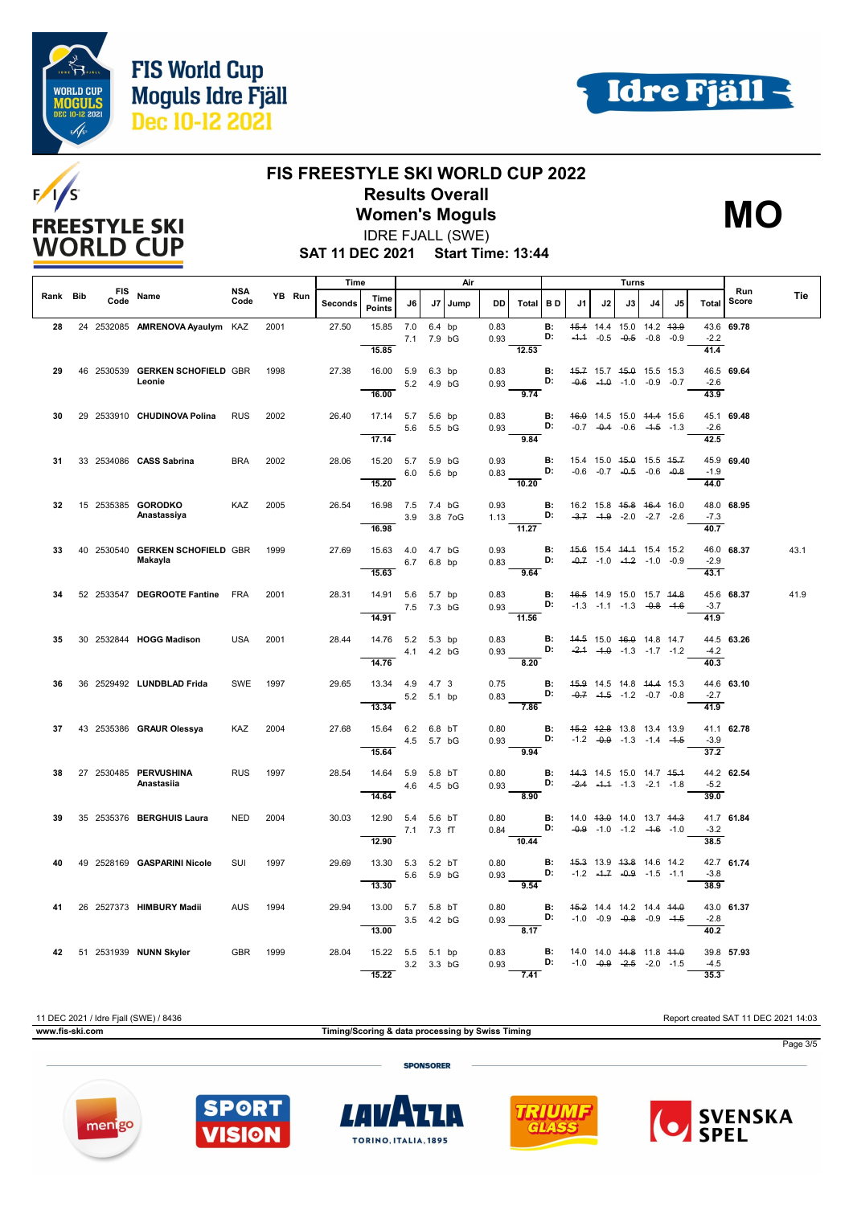





## **FIS FREESTYLE SKI WORLD CUP 2022 Results Overall**

**Women's Moguls** IDRE FJALL (SWE)



**SAT 11 DEC 2021 Start Time: 13:44**

|          |                    |                                            |                    |      |        | Time    |                                    |             | Air                  |      |              | Turns                                 |                 |        |                      |                                                                                      |             |        |                                    |              |      |
|----------|--------------------|--------------------------------------------|--------------------|------|--------|---------|------------------------------------|-------------|----------------------|------|--------------|---------------------------------------|-----------------|--------|----------------------|--------------------------------------------------------------------------------------|-------------|--------|------------------------------------|--------------|------|
| Rank Bib | <b>FIS</b><br>Code | Name                                       | <b>NSA</b><br>Code |      | YB Run | Seconds | Time<br><b>Points</b>              | J6          | J7                   | Jump | <b>DD</b>    | Total                                 | <b>BD</b>       | J1     | J2                   | J3                                                                                   | J4          | J5     | Total                              | Run<br>Score | Tie  |
| 28       |                    | 24 2532085 AMRENOVA Ayaulym KAZ            |                    | 2001 |        | 27.50   | 15.85<br>15.85                     | 7.0         | 6.4 bp<br>7.1 7.9 bG |      | 0.83<br>0.93 | 12.53                                 | <b>B:</b><br>D: | $-1.1$ | $-0.5 -0.5$          | 45.4 14.4 15.0 14.2 43.9                                                             | $-0.8$      | $-0.9$ | $-2.2$<br>41.4                     | 43.6 69.78   |      |
| 29       |                    | 46 2530539 GERKEN SCHOFIELD GBR<br>Leonie  |                    | 1998 |        | 27.38   | 16.00 5.9 6.3 bp<br>16.00          |             | 5.2 4.9 bG           |      | 0.83<br>0.93 | 9.74                                  | B:<br>D:        |        |                      | 45.7 15.7 45.0 15.5 15.3<br>$-0.6$ $-4.0$ $-1.0$ $-0.9$ $-0.7$                       |             |        | $-2.6$<br>43.9                     | 46.5 69.64   |      |
| 30       |                    | 29 2533910 CHUDINOVA Polina                | <b>RUS</b>         | 2002 |        | 26.40   | 17.14 5.7 5.6 bp                   | 5.6         | 5.5 bG               |      | 0.83<br>0.93 |                                       | <b>B:</b><br>D: |        |                      | 46.0 14.5 15.0 44.4 15.6<br>$-0.7$ $-0.4$ $-0.6$ $-4.5$ $-1.3$                       |             |        | $-2.6$                             | 45.1 69.48   |      |
| 31       |                    | 33 2534086 CASS Sabrina                    | <b>BRA</b>         | 2002 |        | 28.06   | 17.14<br>15.20 5.7 5.9 bG<br>15.20 |             | 6.0 5.6 bp           |      | 0.93         | 9.84<br>$0.83$ D:<br>10.20            | B:              |        |                      | 15.4 15.0 45.0 15.5 45.7<br>$-0.6$ $-0.7$ $-0.5$ $-0.6$ $-0.8$                       |             |        | 42.5<br>$-1.9$<br>44.0             | 45.9 69.40   |      |
| 32       |                    | 15 2535385 GORODKO<br>Anastassiya          | KAZ                | 2005 |        | 26.54   | 16.98 7.5 7.4 bG<br>16.98          |             | 3.9 3.8 7oG          |      | 0.93<br>1.13 | $\overline{11.27}$                    | В:<br>D:        |        |                      | 16.2 15.8 <del>15.8</del> <del>16.4</del> 16.0<br>$-3.7$ $-4.9$ $-2.0$ $-2.7$ $-2.6$ |             |        | $-7.3$<br>40.7                     | 48.0 68.95   |      |
| 33       |                    | 40 2530540 GERKEN SCHOFIELD GBR<br>Makayla |                    | 1999 |        | 27.69   | 15.63  4.0  4.7  bG<br>15.63       |             | 6.7 6.8 bp           |      | 0.93<br>0.83 | D:<br>9.64                            | <b>B:</b>       |        |                      | 45.6 15.4 44.4 15.4 15.2<br>$-0.7$ $-1.0$ $-4.2$ $-1.0$ $-0.9$                       |             |        | $-2.9$<br>43.1                     | 46.0 68.37   | 43.1 |
| 34       |                    | 52 2533547 DEGROOTE Fantine FRA            |                    | 2001 |        | 28.31   | 14.91 5.6 5.7 bp                   | 7.5 7.3 bG  |                      |      | 0.83<br>0.93 | D: $-1.3$ $-1.1$ $-1.3$ $-0.8$ $-1.6$ | В:              |        |                      | 46.5 14.9 15.0 15.7 44.8                                                             |             |        | $-3.7$                             | 45.6 68.37   | 41.9 |
| 35       |                    | 30 2532844 HOGG Madison                    | <b>USA</b>         | 2001 |        | 28.44   | 14.91<br>14.76 5.2 5.3 bp          | 4.1 4.2 bG  |                      |      | 0.83<br>0.93 | $-11.56$                              | В:<br>D:        |        |                      | 44.5 15.0 46.0 14.8 14.7<br>$-2.4$ $-4.0$ $-1.3$ $-1.7$ $-1.2$                       |             |        | 41.9<br>$-4.2$<br>$\frac{1}{40.3}$ | 44.5 63.26   |      |
| 36       |                    | 36 2529492 LUNDBLAD Frida                  | <b>SWE</b>         | 1997 |        | 29.65   | 14.76<br>13.34  4.9  4.7  3        | 5.2 5.1 bp  |                      |      | 0.75<br>0.83 | 8.20                                  | B:<br>D:        |        |                      | 45.9 14.5 14.8 44.4 15.3<br>$-0.7$ $-1.5$ $-1.2$ $-0.7$ $-0.8$                       |             |        | $-2.7$                             | 44.6 63.10   |      |
| 37       |                    | 43 2535386 GRAUR Olessya                   | <b>KAZ</b>         | 2004 |        | 27.68   | 13.34<br>15.64<br>15.64            | 6.2 6.8 bT  | 4.5 5.7 bG           |      | 0.80<br>0.93 | 7.86<br>9.94                          | <b>B:</b><br>D: |        |                      | 45.2 42.8 13.8 13.4 13.9<br>$-1.2$ $-0.9$ $-1.3$ $-1.4$ $-1.5$                       |             |        | $\frac{41.9}{9}$<br>$-3.9$<br>37.2 | 41.1 62.78   |      |
| 38       |                    | 27 2530485 PERVUSHINA<br>Anastasiia        | <b>RUS</b>         | 1997 |        | 28.54   | 14.64 5.9 5.8 bT<br>14.64          | 4.6  4.5 bG |                      |      | 0.80<br>0.93 | D:<br>8.90                            | <b>B:</b>       |        |                      | 44.3 14.5 15.0 14.7 45.4<br>$-2.4$ $-4.4$ $-1.3$ $-2.1$ $-1.8$                       |             |        | $-5.2$<br>39.0                     | 44.2 62.54   |      |
| 39       |                    | 35 2535376 BERGHUIS Laura                  | <b>NED</b>         | 2004 |        | 30.03   | 12.90 5.4 5.6 bT<br>12.90          | 7.1 7.3 fT  |                      |      | 0.80<br>0.84 | D:<br>10.44                           | B:              |        |                      | 14.0 43.0 14.0 13.7 44.3<br>$-0.9$ $-1.0$ $-1.2$ $-4.6$ $-1.0$                       |             |        | $-3.2$<br>38.5                     | 41.7 61.84   |      |
| 40       |                    | 49 2528169 GASPARINI Nicole                | <b>SUI</b>         | 1997 |        | 29.69   | 13.30 5.3 5.2 bT<br>13.30          | 5.6         | 5.9 bG               |      | 0.80<br>0.93 | 9.54                                  | <b>B:</b><br>D: |        |                      | 45.3 13.9 43.8 14.6 14.2<br>$-1.2$ $-4.7$ $-0.9$ $-1.5$ $-1.1$                       |             |        | $-3.8$<br>38.9                     | 42.7 61.74   |      |
|          |                    | 26 2527373 HIMBURY Madii                   | <b>AUS</b>         | 1994 |        | 29.94   | 13.00 5.7 5.8 bT<br>13.00          | 3.5 4.2 bG  |                      |      | 0.80<br>0.93 | 8.17                                  | <b>B:</b><br>D: |        |                      | 45.2 14.4 14.2 14.4 44.0<br>$-1.0$ $-0.9$ $-0.8$ $-0.9$ $-4.5$                       |             |        | $-2.8$<br>40.2                     | 43.0 61.37   |      |
|          |                    | 42 51 2531939 NUNN Skyler                  | GBR                | 1999 |        | 28.04   | 15.22 5.5 5.1 bp<br>15.22          | 3.2 3.3 bG  |                      |      | 0.83<br>0.93 | 7.41                                  | <b>B:</b><br>D: |        | $-1.0$ $-0.9$ $-2.5$ | 14.0 14.0 <del>14.8</del> 11.8 <del>11.0</del>                                       | $-2.0 -1.5$ |        | $-4.5$<br>35.3                     | 39.8 57.93   |      |

11 DEC 2021 / Idre Fjall (SWE) / 8436 Report created SAT 11 DEC 2021 14:03 **www.fis-ski.com Timing/Scoring & data processing by Swiss Timing** Page 3/5 **SPONSORER** 









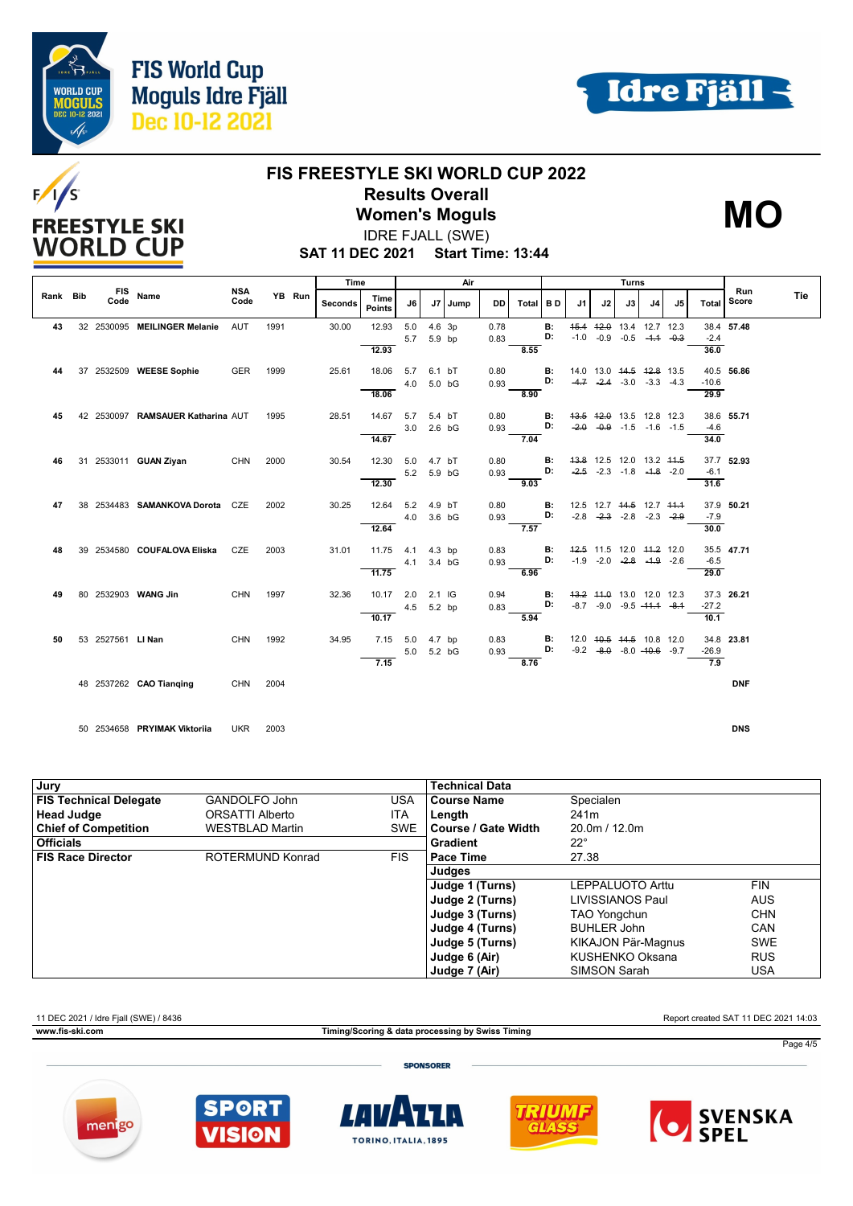





## **FIS FREESTYLE SKI WORLD CUP 2022 Results Overall**

**Women's Moguls** IDRE FJALL (SWE)



**SAT 11 DEC 2021 Start Time: 13:44**

|          |                    |                                   |                    |        | Time    |                       |                   | Air                |         |              |       |           |                |             | Turns                                                           |             |    |                 |              |     |
|----------|--------------------|-----------------------------------|--------------------|--------|---------|-----------------------|-------------------|--------------------|---------|--------------|-------|-----------|----------------|-------------|-----------------------------------------------------------------|-------------|----|-----------------|--------------|-----|
| Rank Bib | <b>FIS</b><br>Code | Name                              | <b>NSA</b><br>Code | YB Run | Seconds | Time<br><b>Points</b> | J6                |                    | J7 Jump | DD           | Total | <b>BD</b> | J1             | J2          | J3                                                              | J4          | J5 | Total           | Run<br>Score | Tie |
| 43       |                    | 32 2530095 MEILINGER Melanie      | <b>AUT</b>         | 1991   | 30.00   | 12.93<br>12.93        | 5.0<br>5.7        | 4.6 3p<br>5.9 bp   |         | 0.78<br>0.83 | 8.55  | B:<br>D:  | 45.4<br>$-1.0$ | $-0.9$      | 42.0 13.4 12.7 12.3<br>$-0.5$                                   | $-4.4 -0.3$ |    | $-2.4$<br>36.0  | 38.4 57.48   |     |
| 44       |                    | 37 2532509 WEESE Sophie           | GER                | 1999   | 25.61   | 18.06<br>18.06        | 5.7<br>4.0        | 6.1 bT<br>5.0 bG   |         | 0.80<br>0.93 | 8.90  | в:<br>D:  | $-4.7$         | $-2.4$      | 14.0 13.0 44.5 42.8 13.5<br>$-3.0$ $-3.3$ $-4.3$                |             |    | $-10.6$<br>29.9 | 40.5 56.86   |     |
| 45       |                    | 42 2530097 RAMSAUER Katharina AUT |                    | 1995   | 28.51   | 14.67<br>14.67        | 5.7<br>3.0        | 5.4 bT<br>$2.6$ bG |         | 0.80<br>0.93 | 7.04  | В:<br>D:  | $-2.0$         |             | 43.5 42.0 13.5 12.8 12.3<br>$-0.9 - 1.5 - 1.6 - 1.5$            |             |    | $-4.6$<br>34.0  | 38.6 55.71   |     |
| 46       |                    | 31 2533011 GUAN Ziyan             | <b>CHN</b>         | 2000   | 30.54   | 12.30<br>12.30        | 5.0<br>5.2 5.9 bG | 4.7 bT             |         | 0.80<br>0.93 | 9.03  | в:<br>D:  | $-2.5$         | $-2.3$      | 43.8 12.5 12.0 13.2 44.5<br>$-1.8$ $-1.8$ $-2.0$                |             |    | $-6.1$<br>31.6  | 37.7 52.93   |     |
| 47       |                    | 38 2534483 SAMANKOVA Dorota CZE   |                    | 2002   | 30.25   | 12.64<br>12.64        | 5.2<br>4.0        | 4.9 bT<br>3.6 bG   |         | 0.80<br>0.93 | 7.57  | в:<br>D:  | $-2.8$         | $-2.3$      | 12.5 12.7 44.5 12.7 44.4<br>$-2.8$ $-2.3$ $-2.9$                |             |    | $-7.9$<br>30.0  | 37.9 50.21   |     |
| 48       |                    | 39 2534580 COUFALOVA Eliska       | CZE                | 2003   | 31.01   | 11.75<br>11.75        | 4.1<br>4.1        | $4.3$ bp<br>3.4 bG |         | 0.83<br>0.93 | 6.96  | в:<br>D:  |                | $-1.9 -2.0$ | 42.5 11.5 12.0 44.2 12.0<br>$-2.8$ $-1.9$ $-2.6$                |             |    | $-6.5$<br>29.0  | 35.5 47.71   |     |
| 49       |                    | 80 2532903 WANG Jin               | <b>CHN</b>         | 1997   | 32.36   | 10.17<br>10.17        | 2.0<br>4.5        | $2.1$ IG<br>5.2 bp |         | 0.94<br>0.83 | 5.94  | в:<br>D:  |                |             | 43.2 44.0 13.0 12.0 12.3<br>$-8.7$ $-9.0$ $-9.5$ $-44.4$ $-8.4$ |             |    | $-27.2$<br>10.1 | 37.3 26.21   |     |
| 50       | 53 2527561 LI Nan  |                                   | <b>CHN</b>         | 1992   | 34.95   | 7.15<br>7.15          | 5.0<br>5.0        | 4.7 bp<br>5.2 bG   |         | 0.83<br>0.93 | 8.76  | B:<br>D:  |                |             | 12.0 40.5 44.5 10.8 12.0<br>$-9.2$ $-8.0$ $-8.0$ $-40.6$ $-9.7$ |             |    | $-26.9$<br>7.9  | 34.8 23.81   |     |
|          |                    | 48 2537262 CAO Tianging           | CHN                | 2004   |         |                       |                   |                    |         |              |       |           |                |             |                                                                 |             |    |                 | <b>DNF</b>   |     |

50 2534658 **PRYIMAK Viktoriia** UKR 2003 **DNS**

| Jury                          |                        |            | <b>Technical Data</b> |                     |            |
|-------------------------------|------------------------|------------|-----------------------|---------------------|------------|
| <b>FIS Technical Delegate</b> | GANDOLFO John          | <b>USA</b> | <b>Course Name</b>    | Specialen           |            |
| <b>Head Judge</b>             | ORSATTI Alberto        | ITA        | Length                | 241 <sub>m</sub>    |            |
| <b>Chief of Competition</b>   | <b>WESTBLAD Martin</b> | SWE        | l Course / Gate Width | 20.0m / 12.0m       |            |
| <b>Officials</b>              |                        |            | Gradient              | $22^{\circ}$        |            |
| <b>FIS Race Director</b>      | ROTERMUND Konrad       | <b>FIS</b> | Pace Time             | 27.38               |            |
|                               |                        |            | Judges                |                     |            |
|                               |                        |            | Judge 1 (Turns)       | LEPPALUOTO Arttu    | <b>FIN</b> |
|                               |                        |            | Judge 2 (Turns)       | LIVISSIANOS Paul    | <b>AUS</b> |
|                               |                        |            | Judge 3 (Turns)       | <b>TAO Yongchun</b> | <b>CHN</b> |
|                               |                        |            | Judge 4 (Turns)       | <b>BUHLER John</b>  | <b>CAN</b> |
|                               |                        |            | Judge 5 (Turns)       | KIKAJON Pär-Magnus  | <b>SWE</b> |
|                               |                        |            | Judge 6 (Air)         | KUSHENKO Oksana     | <b>RUS</b> |
|                               |                        |            | Judge 7 (Air)         | SIMSON Sarah        | USA        |

11 DEC 2021 / Idre Fjall (SWE) / 8436 Report created SAT 11 DEC 2021 14:03

**www.fis-ski.com Timing/Scoring & data processing by Swiss Timing**

Page 4/5